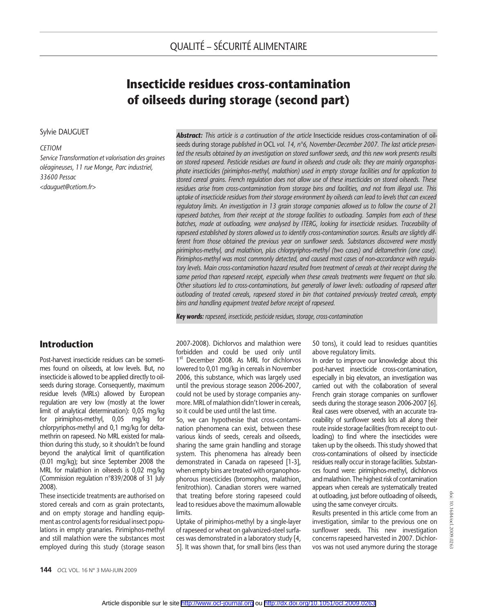# Insecticide residues cross-contamination of oilseeds during storage (second part)

#### Sylvie DAUGUET

#### **CETIOM**

Service Transformation et valorisation des graines oléagineuses, 11 rue Monge, Parc industriel, 33600 Pessac <dauguet@cetiom.fr>

## Introduction

Post-harvest insecticide residues can be sometimes found on oilseeds, at low levels. But, no insecticide is allowed to be applied directly to oilseeds during storage. Consequently, maximum residue levels (MRLs) allowed by European regulation are very low (mostly at the lower limit of analytical determination): 0,05 mg/kg for pirimiphos-methyl, 0,05 mg/kg for chlorpyriphos-methyl and 0,1 mg/kg for deltamethrin on rapeseed. No MRL existed for malathion during this study, so it shouldn't be found beyond the analytical limit of quantification (0.01 mg/kg); but since September 2008 the MRL for malathion in oilseeds is 0,02 mg/kg (Commission regulation n°839/2008 of 31 July 2008).

These insecticide treatments are authorised on stored cereals and corn as grain protectants, and on empty storage and handling equipment as control agents for residual insect populations in empty granaries. Pirimiphos-methyl and still malathion were the substances most employed during this study (storage season **Abstract:** This article is a continuation of the article Insecticide residues cross-contamination of oilseeds during storage published in OCL vol. 14, n°6, November-December 2007. The last article presented the results obtained by an investigation on stored sunflower seeds, and this new work presents results on stored rapeseed. Pesticide residues are found in oilseeds and crude oils: they are mainly organophosphate insecticides (pirimiphos-methyl, malathion) used in empty storage facilities and for application to stored cereal grains. French regulation does not allow use of these insecticides on stored oilseeds. These residues arise from cross-contamination from storage bins and facilities, and not from illegal use. This uptake of insecticide residues from their storage environment by oilseeds can lead to levels that can exceed regulatory limits. An investigation in 13 grain storage companies allowed us to follow the course of 21 rapeseed batches, from their receipt at the storage facilities to outloading. Samples from each of these batches, made at outloading, were analysed by ITERG, looking for insecticide residues. Traceability of rapeseed established by storers allowed us to identify cross-contamination sources. Results are slightly different from those obtained the previous year on sunflower seeds. Substances discovered were mostly pirimiphos-methyl, and malathion, plus chlorpyriphos-methyl (two cases) and deltamethrin (one case). Pirimiphos-methyl was most commonly detected, and caused most cases of non-accordance with regulatory levels. Main cross-contamination hazard resulted from treatment of cereals at their receipt during the same period than rapeseed receipt, especially when these cereals treatments were frequent on that silo. Other situations led to cross-contaminations, but generally of lower levels: outloading of rapeseed after outloading of treated cereals, rapeseed stored in bin that contained previously treated cereals, empty bins and handling equipment treated before receipt of rapeseed.

Key words: rapeseed, insecticide, pesticide residues, storage, cross-contamination

2007-2008). Dichlorvos and malathion were forbidden and could be used only until 1<sup>st</sup> December 2008. As MRL for dichlorvos lowered to 0,01 mg/kg in cereals in November 2006, this substance, which was largely used until the previous storage season 2006-2007, could not be used by storage companies anymore. MRL of malathion didn't lower in cereals, so it could be used until the last time.

So, we can hypothesise that cross-contamination phenomena can exist, between these various kinds of seeds, cereals and oilseeds, sharing the same grain handling and storage system. This phenomena has already been demonstrated in Canada on rapeseed [1-3], when empty bins are treated with organophosphorous insecticides (bromophos, malathion, fenitrothion). Canadian storers were warned that treating before storing rapeseed could lead to residues above the maximum allowable limits.

Uptake of pirimiphos-methyl by a single-layer of rapeseed or wheat on galvanized-steel surfaces was demonstrated in a laboratory study [4, 5]. It was shown that, for small bins (less than 50 tons), it could lead to residues quantities above regulatory limits.

In order to improve our knowledge about this post-harvest insecticide cross-contamination, especially in big elevators, an investigation was carried out with the collaboration of several French grain storage companies on sunflower seeds during the storage season 2006-2007 [6]. Real cases were observed, with an accurate traceability of sunflower seeds lots all along their route inside storage facilities (from receipt to outloading) to find where the insecticides were taken up by the oilseeds. This study showed that cross-contaminations of oilseed by insecticide residues really occur in storage facilities. Substances found were: pirimiphos-methyl, dichlorvos and malathion. The highest risk of contamination appears when cereals are systematically treated at outloading, just before outloading of oilseeds, using the same conveyer circuits.

Results presented in this article come from an investigation, similar to the previous one on sunflower seeds. This new investigation concerns rapeseed harvested in 2007. Dichlorvos was not used anymore during the storage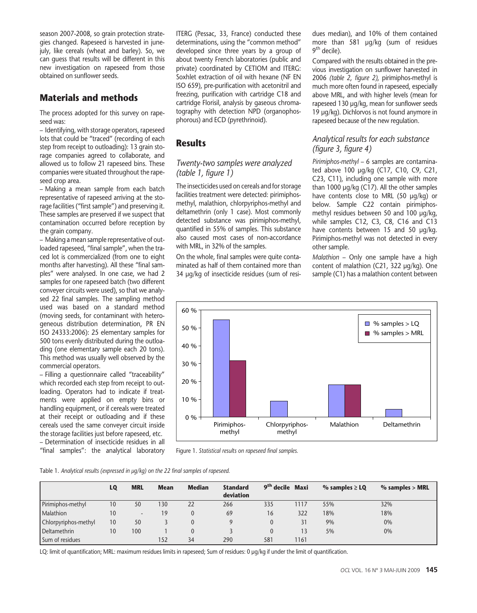season 2007-2008, so grain protection strategies changed. Rapeseed is harvested in junejuly, like cereals (wheat and barley). So, we can guess that results will be different in this new investigation on rapeseed from those obtained on sunflower seeds.

# Materials and methods

The process adopted for this survey on rapeseed was:

– Identifying, with storage operators, rapeseed lots that could be "traced" (recording of each step from receipt to outloading): 13 grain storage companies agreed to collaborate, and allowed us to follow 21 rapeseed bins. These companies were situated throughout the rapeseed crop area.

– Making a mean sample from each batch representative of rapeseed arriving at the storage facilities ("first sample") and preserving it. These samples are preserved if we suspect that contamination occurred before reception by the grain company.

– Making a mean sample representative of outloaded rapeseed, "final sample", when the traced lot is commercialized (from one to eight months after harvesting). All these "final samples" were analysed. In one case, we had 2 samples for one rapeseed batch (two different conveyer circuits were used), so that we analysed 22 final samples. The sampling method used was based on a standard method (moving seeds, for contaminant with heterogeneous distribution determination, PR EN ISO 24333:2006): 25 elementary samples for 500 tons evenly distributed during the outloading (one elementary sample each 20 tons). This method was usually well observed by the commercial operators.

– Filling a questionnaire called "traceability" which recorded each step from receipt to outloading. Operators had to indicate if treatments were applied on empty bins or handling equipment, or if cereals were treated at their receipt or outloading and if these cereals used the same conveyer circuit inside the storage facilities just before rapeseed, etc. – Determination of insecticide residues in all "final samples": the analytical laboratory ITERG (Pessac, 33, France) conducted these determinations, using the "common method" developed since three years by a group of about twenty French laboratories (public and private) coordinated by CETIOM and ITERG: Soxhlet extraction of oil with hexane (NF EN ISO 659), pre-purification with acetonitril and freezing, purification with cartridge C18 and cartridge Florisil, analysis by gaseous chromatography with detection NPD (organophosphorous) and ECD (pyrethrinoid).

## **Results**

### Twenty-two samples were analyzed (table 1, figure 1)

The insecticides used on cereals and for storage facilities treatment were detected: pirimiphosmethyl, malathion, chlorpyriphos-methyl and deltamethrin (only 1 case). Most commonly detected substance was pirimiphos-methyl, quantified in 55% of samples. This substance also caused most cases of non-accordance with MRL, in 32% of the samples.

On the whole, final samples were quite contaminated as half of them contained more than 34 μg/kg of insecticide residues (sum of residues median), and 10% of them contained more than 581 μg/kg (sum of residues  $9<sup>th</sup>$  decile).

Compared with the results obtained in the previous investigation on sunflower harvested in 2006 (table 2, figure 2), pirimiphos-methyl is much more often found in rapeseed, especially above MRL, and with higher levels (mean for rapeseed 130 μg/kg, mean for sunflower seeds 19 μg/kg). Dichlorvos is not found anymore in rapeseed because of the new regulation.

## Analytical results for each substance (figure 3, figure 4)

Pirimiphos-methyl – 6 samples are contaminated above 100 μg/kg (C17, C10, C9, C21, C23, C11), including one sample with more than 1000 μg/kg (C17). All the other samples have contents close to MRL (50 μg/kg) or below. Sample C22 contain pirimiphosmethyl residues between 50 and 100 μg/kg, while samples C12, C3, C8, C16 and C13 have contents between 15 and 50 μg/kg. Pirimiphos-methyl was not detected in every other sample.

Malathion – Only one sample have a high content of malathion (C21, 322 μg/kg). One sample (C1) has a malathion content between



Figure 1. Statistical results on rapeseed final samples.

| Table 1. Analytical results (expressed in µq/kq) on the 22 final samples of rapeseed. |  |  |  |  |  |  |  |  |
|---------------------------------------------------------------------------------------|--|--|--|--|--|--|--|--|
|---------------------------------------------------------------------------------------|--|--|--|--|--|--|--|--|

|                      | LO | <b>MRL</b> | <b>Mean</b> | <b>Median</b> | <b>Standard</b><br>deviation | 9 <sup>th</sup> decile Maxi |      | $\%$ samples $\geq$ LQ | $%$ samples > MRL |
|----------------------|----|------------|-------------|---------------|------------------------------|-----------------------------|------|------------------------|-------------------|
| Pirimiphos-methyl    | 10 | 50         | 30          | 22            | 266                          | 335                         | 1117 | 55%                    | 32%               |
| Malathion            | 10 | $\sim$     | 19          |               | 69                           | 16                          | 322  | 18%                    | 18%               |
| Chlorpyriphos-methyl | 10 | 50         |             |               |                              |                             | 31   | 9%                     | 0%                |
| Deltamethrin         | 10 | 100        |             |               |                              |                             |      | 5%                     | 0%                |
| Sum of residues      |    |            | 152         | 34            | 290                          | 581                         | 1161 |                        |                   |

LQ: limit of quantification; MRL: maximum residues limits in rapeseed; Sum of residues: 0 μg/kg if under the limit of quantification.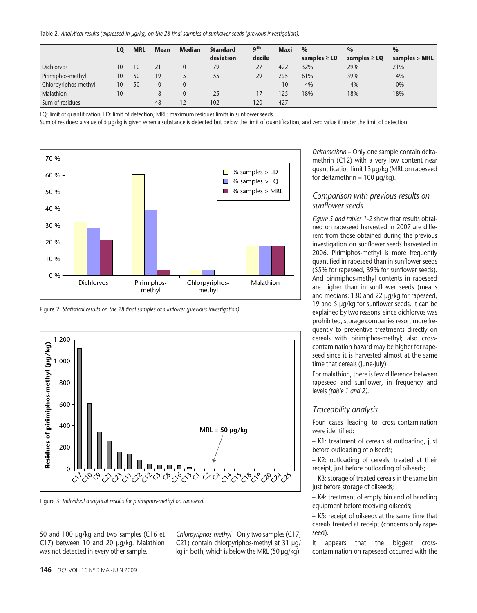Table 2. Analytical results (expressed in μg/kg) on the 28 final samples of sunflower seeds (previous investigation).

|                      | LO | <b>MRL</b> | <b>Mean</b> | <b>Median</b>     | <b>Standard</b> | <b>gth</b> | <b>Maxi</b> | $\frac{0}{0}$     | $\frac{0}{0}$     | $\frac{0}{0}$               |
|----------------------|----|------------|-------------|-------------------|-----------------|------------|-------------|-------------------|-------------------|-----------------------------|
|                      |    |            |             |                   | deviation       | decile     |             | samples $\geq$ LD | samples $\geq$ LO | samples $>$ MRL $\parallel$ |
| <b>Dichlorvos</b>    | 10 | 10         | 21          |                   | 79              | 27         | 422         | 32%               | 29%               | 21%                         |
| Pirimiphos-methyl    | 10 | 50         | 19          |                   | 55              | 29         | 295         | 61%               | 39%               | 4%                          |
| Chlorpyriphos-methyl | 10 | 50         | 0           |                   |                 |            | 10          | 4%                | 4%                | 0%                          |
| <b>Malathion</b>     | 10 | $\sim$     | 8           |                   | 25              |            | 125         | 18%               | 18%               | 18%                         |
| Sum of residues      |    |            | 48          | $12 \overline{ }$ | 102             | 120        | 427         |                   |                   |                             |

LQ: limit of quantification; LD: limit of detection; MRL: maximum residues limits in sunflower seeds.

Sum of residues: a value of 5 μg/kg is given when a substance is detected but below the limit of quantification, and zero value if under the limit of detection.



Figure 2. Statistical results on the 28 final samples of sunflower (previous investigation).



Figure 3. Individual analytical results for pirimiphos-methyl on rapeseed.

50 and 100 μg/kg and two samples (C16 et C17) between 10 and 20 μg/kg. Malathion was not detected in every other sample.

Chlorpyriphos-methyl – Only two samples (C17, C21) contain chlorpyriphos-methyl at 31 μg/ kg in both, which is below the MRL (50 μg/kg). Deltamethrin – Only one sample contain deltamethrin (C12) with a very low content near quantification limit 13 μg/kg (MRL on rapeseed for deltamethrin =  $100 \mu q/kg$ ).

#### Comparison with previous results on sunflower seeds

Figure 5 and tables 1-2 show that results obtained on rapeseed harvested in 2007 are different from those obtained during the previous investigation on sunflower seeds harvested in 2006. Pirimiphos-methyl is more frequently quantified in rapeseed than in sunflower seeds (55% for rapeseed, 39% for sunflower seeds). And pirimiphos-methyl contents in rapeseed are higher than in sunflower seeds (means and medians: 130 and 22 μg/kg for rapeseed, 19 and 5 μg/kg for sunflower seeds. It can be explained by two reasons: since dichlorvos was prohibited, storage companies resort more frequently to preventive treatments directly on cereals with pirimiphos-methyl; also crosscontamination hazard may be higher for rapeseed since it is harvested almost at the same time that cereals (June-July).

For malathion, there is few difference between rapeseed and sunflower, in frequency and levels (table 1 and 2).

#### Traceability analysis

Four cases leading to cross-contamination were identified:

– K1: treatment of cereals at outloading, just before outloading of oilseeds;

– K2: outloading of cereals, treated at their receipt, just before outloading of oilseeds;

– K3: storage of treated cereals in the same bin just before storage of oilseeds;

– K4: treatment of empty bin and of handling equipment before receiving oilseeds;

– K5: receipt of oilseeds at the same time that cereals treated at receipt (concerns only rapeseed).

It appears that the biggest crosscontamination on rapeseed occurred with the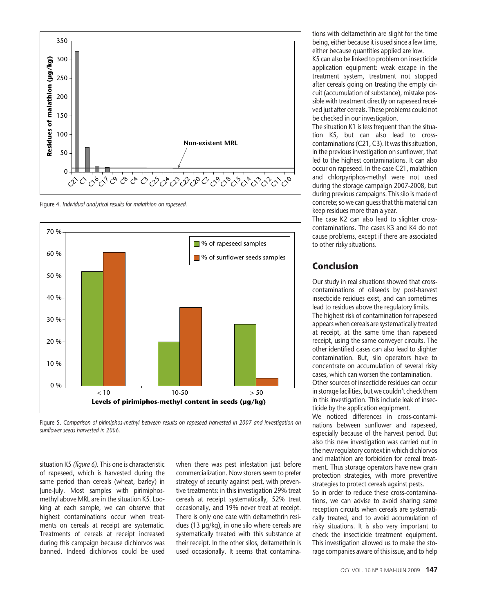

Figure 4. Individual analytical results for malathion on rapeseed.



Figure 5. Comparison of pirimiphos-methyl between results on rapeseed harvested in 2007 and investigation on sunflower seeds harvested in 2006.

situation K5 (figure 6). This one is characteristic of rapeseed, which is harvested during the same period than cereals (wheat, barley) in June-July. Most samples with pirimiphosmethyl above MRL are in the situation K5. Looking at each sample, we can observe that highest contaminations occur when treatments on cereals at receipt are systematic. Treatments of cereals at receipt increased during this campaign because dichlorvos was banned. Indeed dichlorvos could be used when there was pest infestation just before commercialization. Now storers seem to prefer strategy of security against pest, with preventive treatments: in this investigation 29% treat cereals at receipt systematically, 52% treat occasionally, and 19% never treat at receipt. There is only one case with deltamethrin residues (13 μg/kg), in one silo where cereals are systematically treated with this substance at their receipt. In the other silos, deltamethrin is used occasionally. It seems that contaminations with deltamethrin are slight for the time being, either because it is used since a few time, either because quantities applied are low.

K5 can also be linked to problem on insecticide application equipment: weak escape in the treatment system, treatment not stopped after cereals going on treating the empty circuit (accumulation of substance), mistake possible with treatment directly on rapeseed received just after cereals. These problems could not be checked in our investigation.

The situation K1 is less frequent than the situation K5, but can also lead to crosscontaminations (C21, C3). It was this situation, in the previous investigation on sunflower, that led to the highest contaminations. It can also occur on rapeseed. In the case C21, malathion and chlorpyriphos-methyl were not used during the storage campaign 2007-2008, but during previous campaigns. This silo is made of concrete; so we can guess that this material can keep residues more than a year.

The case K2 can also lead to slighter crosscontaminations. The cases K3 and K4 do not cause problems, except if there are associated to other risky situations.

## Conclusion

Our study in real situations showed that crosscontaminations of oilseeds by post-harvest insecticide residues exist, and can sometimes lead to residues above the regulatory limits.

The highest risk of contamination for rapeseed appears when cereals are systematically treated at receipt, at the same time than rapeseed receipt, using the same conveyer circuits. The other identified cases can also lead to slighter contamination. But, silo operators have to concentrate on accumulation of several risky cases, which can worsen the contamination. Other sources of insecticide residues can occur in storage facilities, but we couldn't check them in this investigation. This include leak of insec-

ticide by the application equipment. We noticed differences in cross-contaminations between sunflower and rapeseed, especially because of the harvest period. But also this new investigation was carried out in the new regulatory context in which dichlorvos and malathion are forbidden for cereal treatment. Thus storage operators have new grain protection strategies, with more preventive strategies to protect cereals against pests.

So in order to reduce these cross-contaminations, we can advise to avoid sharing same reception circuits when cereals are systematically treated, and to avoid accumulation of risky situations. It is also very important to check the insecticide treatment equipment. This investigation allowed us to make the storage companies aware of this issue, and to help